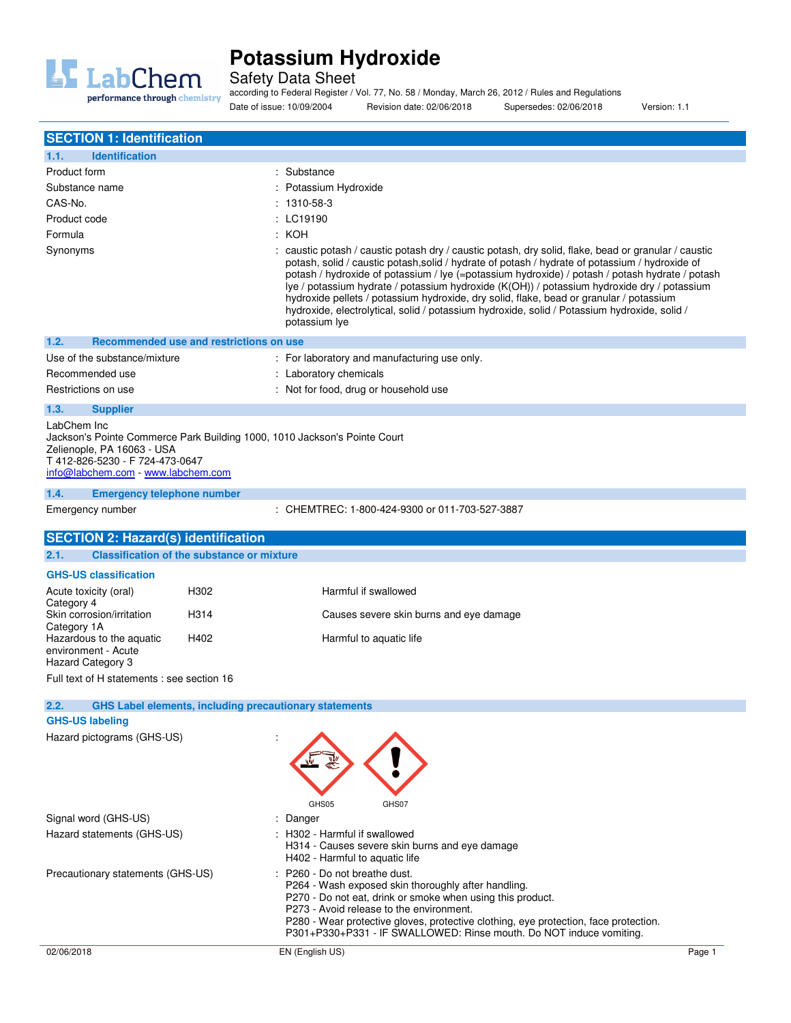

Safety Data Sheet

according to Federal Register / Vol. 77, No. 58 / Monday, March 26, 2012 / Rules and Regulations

Date of issue: 10/09/2004 Revision date: 02/06/2018 Supersedes: 02/06/2018 Version: 1.1

| <b>SECTION 1: Identification</b>                                                                                                                              |                                                                                                                                                                                                                                                                                                                                                                                                                                                                                                                                                                                                                                  |
|---------------------------------------------------------------------------------------------------------------------------------------------------------------|----------------------------------------------------------------------------------------------------------------------------------------------------------------------------------------------------------------------------------------------------------------------------------------------------------------------------------------------------------------------------------------------------------------------------------------------------------------------------------------------------------------------------------------------------------------------------------------------------------------------------------|
| 1.1.<br><b>Identification</b>                                                                                                                                 |                                                                                                                                                                                                                                                                                                                                                                                                                                                                                                                                                                                                                                  |
| Product form                                                                                                                                                  | : Substance                                                                                                                                                                                                                                                                                                                                                                                                                                                                                                                                                                                                                      |
| Substance name                                                                                                                                                | : Potassium Hydroxide                                                                                                                                                                                                                                                                                                                                                                                                                                                                                                                                                                                                            |
| CAS-No.                                                                                                                                                       | $: 1310 - 58 - 3$                                                                                                                                                                                                                                                                                                                                                                                                                                                                                                                                                                                                                |
| Product code                                                                                                                                                  | : LC19190                                                                                                                                                                                                                                                                                                                                                                                                                                                                                                                                                                                                                        |
| Formula                                                                                                                                                       | : КОН                                                                                                                                                                                                                                                                                                                                                                                                                                                                                                                                                                                                                            |
| Synonyms                                                                                                                                                      | $\therefore$ caustic potash / caustic potash dry / caustic potash, dry solid, flake, bead or granular / caustic<br>potash, solid / caustic potash, solid / hydrate of potash / hydrate of potassium / hydroxide of<br>potash / hydroxide of potassium / lye (=potassium hydroxide) / potash / potash hydrate / potash<br>lye / potassium hydrate / potassium hydroxide (K(OH)) / potassium hydroxide dry / potassium<br>hydroxide pellets / potassium hydroxide, dry solid, flake, bead or granular / potassium<br>hydroxide, electrolytical, solid / potassium hydroxide, solid / Potassium hydroxide, solid /<br>potassium lye |
| 1.2.                                                                                                                                                          | Recommended use and restrictions on use                                                                                                                                                                                                                                                                                                                                                                                                                                                                                                                                                                                          |
| Use of the substance/mixture                                                                                                                                  | : For laboratory and manufacturing use only.                                                                                                                                                                                                                                                                                                                                                                                                                                                                                                                                                                                     |
| Recommended use                                                                                                                                               | : Laboratory chemicals                                                                                                                                                                                                                                                                                                                                                                                                                                                                                                                                                                                                           |
| Restrictions on use                                                                                                                                           | : Not for food, drug or household use                                                                                                                                                                                                                                                                                                                                                                                                                                                                                                                                                                                            |
| 1.3.<br><b>Supplier</b>                                                                                                                                       |                                                                                                                                                                                                                                                                                                                                                                                                                                                                                                                                                                                                                                  |
| LabChem Inc<br>Zelienople, PA 16063 - USA<br>T412-826-5230 - F724-473-0647<br>info@labchem.com - www.labchem.com<br>1.4.<br><b>Emergency telephone number</b> | Jackson's Pointe Commerce Park Building 1000, 1010 Jackson's Pointe Court                                                                                                                                                                                                                                                                                                                                                                                                                                                                                                                                                        |
| Emergency number                                                                                                                                              | : CHEMTREC: 1-800-424-9300 or 011-703-527-3887                                                                                                                                                                                                                                                                                                                                                                                                                                                                                                                                                                                   |
| <b>SECTION 2: Hazard(s) identification</b>                                                                                                                    |                                                                                                                                                                                                                                                                                                                                                                                                                                                                                                                                                                                                                                  |
| <b>Classification of the substance or mixture</b><br>2.1.                                                                                                     |                                                                                                                                                                                                                                                                                                                                                                                                                                                                                                                                                                                                                                  |
| <b>GHS-US classification</b>                                                                                                                                  |                                                                                                                                                                                                                                                                                                                                                                                                                                                                                                                                                                                                                                  |
| Acute toxicity (oral)                                                                                                                                         | H302<br>Harmful if swallowed                                                                                                                                                                                                                                                                                                                                                                                                                                                                                                                                                                                                     |
| Category 4                                                                                                                                                    |                                                                                                                                                                                                                                                                                                                                                                                                                                                                                                                                                                                                                                  |
| Skin corrosion/irritation<br>Category 1A                                                                                                                      | H <sub>3</sub> 14<br>Causes severe skin burns and eye damage                                                                                                                                                                                                                                                                                                                                                                                                                                                                                                                                                                     |
| Hazardous to the aquatic<br>environment - Acute<br>Hazard Category 3                                                                                          | H402<br>Harmful to aquatic life                                                                                                                                                                                                                                                                                                                                                                                                                                                                                                                                                                                                  |
| Full text of H statements : see section 16                                                                                                                    |                                                                                                                                                                                                                                                                                                                                                                                                                                                                                                                                                                                                                                  |
|                                                                                                                                                               |                                                                                                                                                                                                                                                                                                                                                                                                                                                                                                                                                                                                                                  |
| 2.2.                                                                                                                                                          | <b>GHS Label elements, including precautionary statements</b>                                                                                                                                                                                                                                                                                                                                                                                                                                                                                                                                                                    |
| <b>GHS-US labeling</b>                                                                                                                                        |                                                                                                                                                                                                                                                                                                                                                                                                                                                                                                                                                                                                                                  |
| Hazard pictograms (GHS-US)                                                                                                                                    | GHS05<br>GHS07                                                                                                                                                                                                                                                                                                                                                                                                                                                                                                                                                                                                                   |
| Signal word (GHS-US)                                                                                                                                          | Danger                                                                                                                                                                                                                                                                                                                                                                                                                                                                                                                                                                                                                           |
| Hazard statements (GHS-US)                                                                                                                                    | : H302 - Harmful if swallowed<br>H314 - Causes severe skin burns and eye damage<br>H402 - Harmful to aquatic life                                                                                                                                                                                                                                                                                                                                                                                                                                                                                                                |
| Precautionary statements (GHS-US)                                                                                                                             | : P260 - Do not breathe dust.<br>P264 - Wash exposed skin thoroughly after handling.<br>P270 - Do not eat, drink or smoke when using this product.<br>P273 - Avoid release to the environment.<br>P280 - Wear protective gloves, protective clothing, eye protection, face protection.<br>P301+P330+P331 - IF SWALLOWED: Rinse mouth. Do NOT induce vomiting.                                                                                                                                                                                                                                                                    |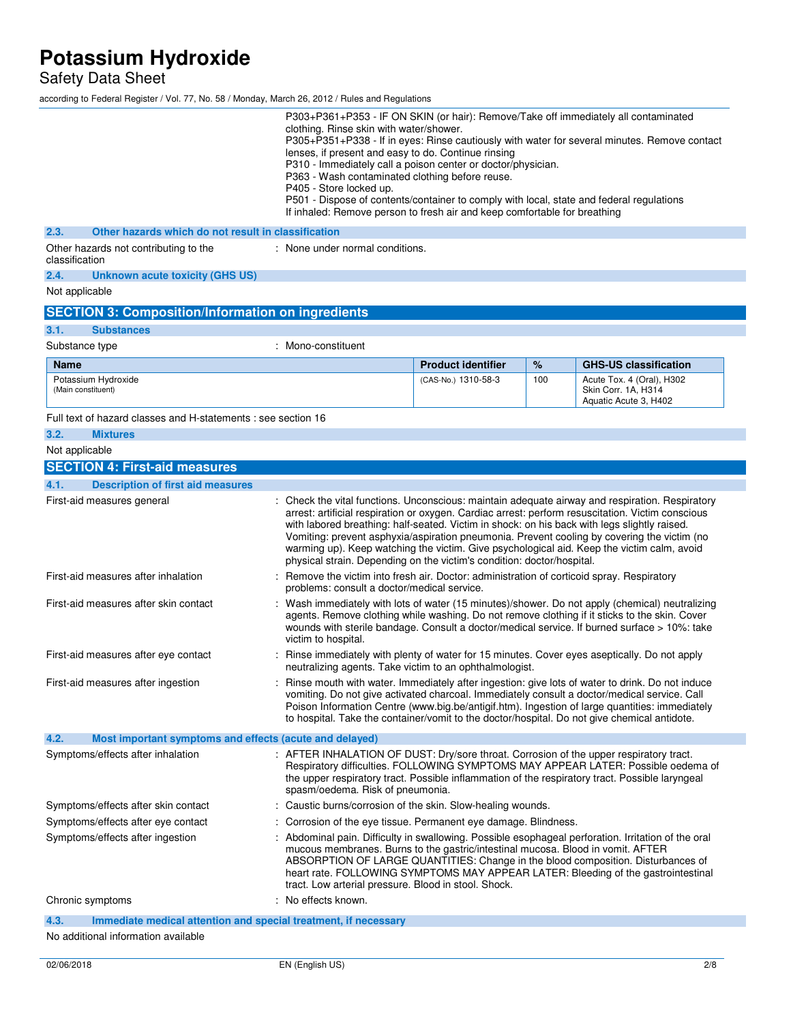Safety Data Sheet

according to Federal Register / Vol. 77, No. 58 / Monday, March 26, 2012 / Rules and Regulations

|                                                                         | P303+P361+P353 - IF ON SKIN (or hair): Remove/Take off immediately all contaminated<br>clothing. Rinse skin with water/shower.<br>lenses, if present and easy to do. Continue rinsing<br>P310 - Immediately call a poison center or doctor/physician.<br>P363 - Wash contaminated clothing before reuse.<br>P405 - Store locked up.<br>P501 - Dispose of contents/container to comply with local, state and federal regulations<br>If inhaled: Remove person to fresh air and keep comfortable for breathing |                           |     | P305+P351+P338 - If in eyes: Rinse cautiously with water for several minutes. Remove contact                                                                                                                                                                                                                                                                                                    |
|-------------------------------------------------------------------------|--------------------------------------------------------------------------------------------------------------------------------------------------------------------------------------------------------------------------------------------------------------------------------------------------------------------------------------------------------------------------------------------------------------------------------------------------------------------------------------------------------------|---------------------------|-----|-------------------------------------------------------------------------------------------------------------------------------------------------------------------------------------------------------------------------------------------------------------------------------------------------------------------------------------------------------------------------------------------------|
| 2.3.<br>Other hazards which do not result in classification             |                                                                                                                                                                                                                                                                                                                                                                                                                                                                                                              |                           |     |                                                                                                                                                                                                                                                                                                                                                                                                 |
| Other hazards not contributing to the<br>classification                 | : None under normal conditions.                                                                                                                                                                                                                                                                                                                                                                                                                                                                              |                           |     |                                                                                                                                                                                                                                                                                                                                                                                                 |
| 2.4.<br><b>Unknown acute toxicity (GHS US)</b>                          |                                                                                                                                                                                                                                                                                                                                                                                                                                                                                                              |                           |     |                                                                                                                                                                                                                                                                                                                                                                                                 |
| Not applicable                                                          |                                                                                                                                                                                                                                                                                                                                                                                                                                                                                                              |                           |     |                                                                                                                                                                                                                                                                                                                                                                                                 |
| <b>SECTION 3: Composition/Information on ingredients</b>                |                                                                                                                                                                                                                                                                                                                                                                                                                                                                                                              |                           |     |                                                                                                                                                                                                                                                                                                                                                                                                 |
| 3.1.<br><b>Substances</b>                                               |                                                                                                                                                                                                                                                                                                                                                                                                                                                                                                              |                           |     |                                                                                                                                                                                                                                                                                                                                                                                                 |
| Substance type                                                          | : Mono-constituent                                                                                                                                                                                                                                                                                                                                                                                                                                                                                           |                           |     |                                                                                                                                                                                                                                                                                                                                                                                                 |
| <b>Name</b>                                                             |                                                                                                                                                                                                                                                                                                                                                                                                                                                                                                              | <b>Product identifier</b> | %   | <b>GHS-US classification</b>                                                                                                                                                                                                                                                                                                                                                                    |
| Potassium Hydroxide<br>(Main constituent)                               |                                                                                                                                                                                                                                                                                                                                                                                                                                                                                                              | (CAS-No.) 1310-58-3       | 100 | Acute Tox. 4 (Oral), H302<br>Skin Corr. 1A, H314<br>Aquatic Acute 3, H402                                                                                                                                                                                                                                                                                                                       |
| Full text of hazard classes and H-statements : see section 16           |                                                                                                                                                                                                                                                                                                                                                                                                                                                                                                              |                           |     |                                                                                                                                                                                                                                                                                                                                                                                                 |
| 3.2.<br><b>Mixtures</b>                                                 |                                                                                                                                                                                                                                                                                                                                                                                                                                                                                                              |                           |     |                                                                                                                                                                                                                                                                                                                                                                                                 |
| Not applicable                                                          |                                                                                                                                                                                                                                                                                                                                                                                                                                                                                                              |                           |     |                                                                                                                                                                                                                                                                                                                                                                                                 |
| <b>SECTION 4: First-aid measures</b>                                    |                                                                                                                                                                                                                                                                                                                                                                                                                                                                                                              |                           |     |                                                                                                                                                                                                                                                                                                                                                                                                 |
| 4.1.<br><b>Description of first aid measures</b>                        |                                                                                                                                                                                                                                                                                                                                                                                                                                                                                                              |                           |     |                                                                                                                                                                                                                                                                                                                                                                                                 |
| First-aid measures general                                              | with labored breathing: half-seated. Victim in shock: on his back with legs slightly raised.<br>physical strain. Depending on the victim's condition: doctor/hospital.                                                                                                                                                                                                                                                                                                                                       |                           |     | Check the vital functions. Unconscious: maintain adequate airway and respiration. Respiratory<br>arrest: artificial respiration or oxygen. Cardiac arrest: perform resuscitation. Victim conscious<br>Vomiting: prevent asphyxia/aspiration pneumonia. Prevent cooling by covering the victim (no<br>warming up). Keep watching the victim. Give psychological aid. Keep the victim calm, avoid |
| First-aid measures after inhalation                                     | Remove the victim into fresh air. Doctor: administration of corticoid spray. Respiratory<br>problems: consult a doctor/medical service.                                                                                                                                                                                                                                                                                                                                                                      |                           |     |                                                                                                                                                                                                                                                                                                                                                                                                 |
| First-aid measures after skin contact                                   | victim to hospital.                                                                                                                                                                                                                                                                                                                                                                                                                                                                                          |                           |     | Wash immediately with lots of water (15 minutes)/shower. Do not apply (chemical) neutralizing<br>agents. Remove clothing while washing. Do not remove clothing if it sticks to the skin. Cover<br>wounds with sterile bandage. Consult a doctor/medical service. If burned surface > 10%: take                                                                                                  |
| First-aid measures after eye contact                                    | neutralizing agents. Take victim to an ophthalmologist.                                                                                                                                                                                                                                                                                                                                                                                                                                                      |                           |     | Rinse immediately with plenty of water for 15 minutes. Cover eyes aseptically. Do not apply                                                                                                                                                                                                                                                                                                     |
| First-aid measures after ingestion                                      | to hospital. Take the container/vomit to the doctor/hospital. Do not give chemical antidote.                                                                                                                                                                                                                                                                                                                                                                                                                 |                           |     | Rinse mouth with water. Immediately after ingestion: give lots of water to drink. Do not induce<br>vomiting. Do not give activated charcoal. Immediately consult a doctor/medical service. Call<br>Poison Information Centre (www.big.be/antigif.htm). Ingestion of large quantities: immediately                                                                                               |
| 4.2.<br>Most important symptoms and effects (acute and delayed)         |                                                                                                                                                                                                                                                                                                                                                                                                                                                                                                              |                           |     |                                                                                                                                                                                                                                                                                                                                                                                                 |
| Symptoms/effects after inhalation                                       | : AFTER INHALATION OF DUST: Dry/sore throat. Corrosion of the upper respiratory tract.<br>spasm/oedema. Risk of pneumonia.                                                                                                                                                                                                                                                                                                                                                                                   |                           |     | Respiratory difficulties. FOLLOWING SYMPTOMS MAY APPEAR LATER: Possible oedema of<br>the upper respiratory tract. Possible inflammation of the respiratory tract. Possible laryngeal                                                                                                                                                                                                            |
| Symptoms/effects after skin contact                                     | : Caustic burns/corrosion of the skin. Slow-healing wounds.                                                                                                                                                                                                                                                                                                                                                                                                                                                  |                           |     |                                                                                                                                                                                                                                                                                                                                                                                                 |
| Symptoms/effects after eye contact                                      | Corrosion of the eye tissue. Permanent eye damage. Blindness.                                                                                                                                                                                                                                                                                                                                                                                                                                                |                           |     |                                                                                                                                                                                                                                                                                                                                                                                                 |
| Symptoms/effects after ingestion                                        | mucous membranes. Burns to the gastric/intestinal mucosa. Blood in vomit. AFTER<br>tract. Low arterial pressure. Blood in stool. Shock.                                                                                                                                                                                                                                                                                                                                                                      |                           |     | Abdominal pain. Difficulty in swallowing. Possible esophageal perforation. Irritation of the oral<br>ABSORPTION OF LARGE QUANTITIES: Change in the blood composition. Disturbances of<br>heart rate. FOLLOWING SYMPTOMS MAY APPEAR LATER: Bleeding of the gastrointestinal                                                                                                                      |
| Chronic symptoms                                                        | : No effects known.                                                                                                                                                                                                                                                                                                                                                                                                                                                                                          |                           |     |                                                                                                                                                                                                                                                                                                                                                                                                 |
| 4.3.<br>Immediate medical attention and special treatment, if necessary |                                                                                                                                                                                                                                                                                                                                                                                                                                                                                                              |                           |     |                                                                                                                                                                                                                                                                                                                                                                                                 |
| No additional information available                                     |                                                                                                                                                                                                                                                                                                                                                                                                                                                                                                              |                           |     |                                                                                                                                                                                                                                                                                                                                                                                                 |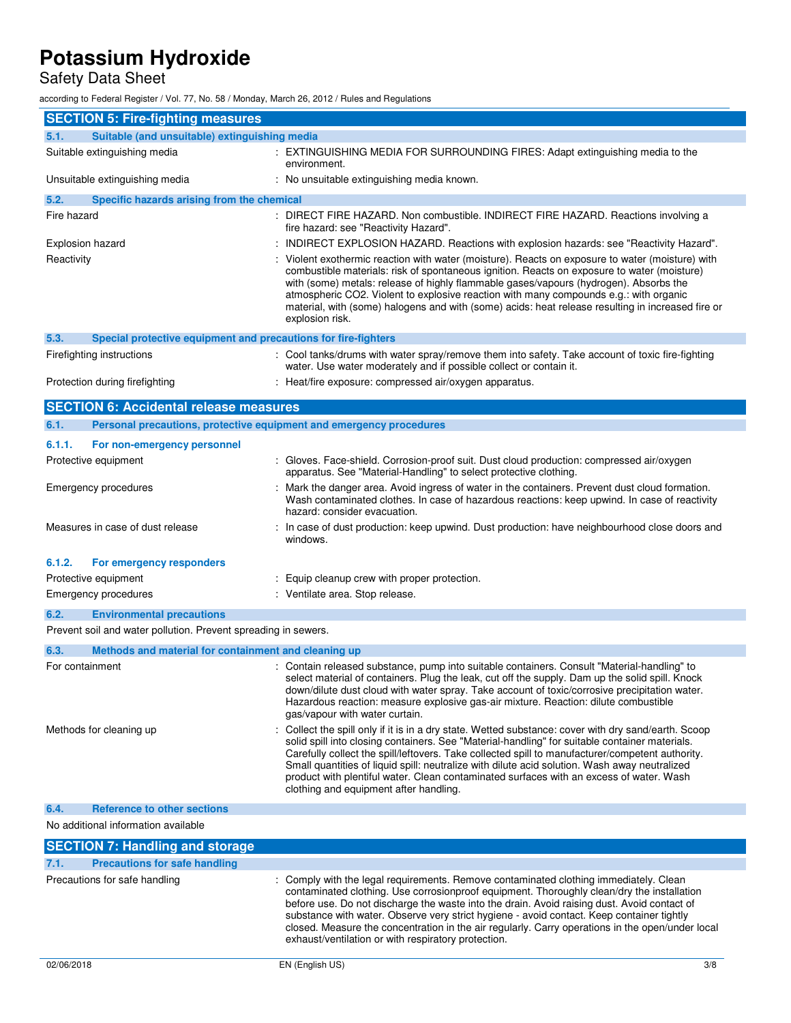## Safety Data Sheet

according to Federal Register / Vol. 77, No. 58 / Monday, March 26, 2012 / Rules and Regulations

| <b>SECTION 5: Fire-fighting measures</b>                                    |                                                                                                                                                                                                                                                                                                                                                                                                                                                                                                                                                  |
|-----------------------------------------------------------------------------|--------------------------------------------------------------------------------------------------------------------------------------------------------------------------------------------------------------------------------------------------------------------------------------------------------------------------------------------------------------------------------------------------------------------------------------------------------------------------------------------------------------------------------------------------|
| Suitable (and unsuitable) extinguishing media<br>5.1.                       |                                                                                                                                                                                                                                                                                                                                                                                                                                                                                                                                                  |
| Suitable extinguishing media                                                | : EXTINGUISHING MEDIA FOR SURROUNDING FIRES: Adapt extinguishing media to the<br>environment.                                                                                                                                                                                                                                                                                                                                                                                                                                                    |
| Unsuitable extinguishing media                                              | : No unsuitable extinguishing media known.                                                                                                                                                                                                                                                                                                                                                                                                                                                                                                       |
| 5.2.<br>Specific hazards arising from the chemical                          |                                                                                                                                                                                                                                                                                                                                                                                                                                                                                                                                                  |
| Fire hazard                                                                 | : DIRECT FIRE HAZARD. Non combustible. INDIRECT FIRE HAZARD. Reactions involving a<br>fire hazard: see "Reactivity Hazard".                                                                                                                                                                                                                                                                                                                                                                                                                      |
| Explosion hazard                                                            | : INDIRECT EXPLOSION HAZARD. Reactions with explosion hazards: see "Reactivity Hazard".                                                                                                                                                                                                                                                                                                                                                                                                                                                          |
| Reactivity                                                                  | : Violent exothermic reaction with water (moisture). Reacts on exposure to water (moisture) with<br>combustible materials: risk of spontaneous ignition. Reacts on exposure to water (moisture)<br>with (some) metals: release of highly flammable gases/vapours (hydrogen). Absorbs the<br>atmospheric CO2. Violent to explosive reaction with many compounds e.g.: with organic<br>material, with (some) halogens and with (some) acids: heat release resulting in increased fire or<br>explosion risk.                                        |
| 5.3.<br>Special protective equipment and precautions for fire-fighters      |                                                                                                                                                                                                                                                                                                                                                                                                                                                                                                                                                  |
| Firefighting instructions                                                   | : Cool tanks/drums with water spray/remove them into safety. Take account of toxic fire-fighting<br>water. Use water moderately and if possible collect or contain it.                                                                                                                                                                                                                                                                                                                                                                           |
| Protection during firefighting                                              | : Heat/fire exposure: compressed air/oxygen apparatus.                                                                                                                                                                                                                                                                                                                                                                                                                                                                                           |
| <b>SECTION 6: Accidental release measures</b>                               |                                                                                                                                                                                                                                                                                                                                                                                                                                                                                                                                                  |
| 6.1.<br>Personal precautions, protective equipment and emergency procedures |                                                                                                                                                                                                                                                                                                                                                                                                                                                                                                                                                  |
| 6.1.1.<br>For non-emergency personnel                                       |                                                                                                                                                                                                                                                                                                                                                                                                                                                                                                                                                  |
| Protective equipment                                                        | : Gloves. Face-shield. Corrosion-proof suit. Dust cloud production: compressed air/oxygen                                                                                                                                                                                                                                                                                                                                                                                                                                                        |
|                                                                             | apparatus. See "Material-Handling" to select protective clothing.                                                                                                                                                                                                                                                                                                                                                                                                                                                                                |
| <b>Emergency procedures</b>                                                 | : Mark the danger area. Avoid ingress of water in the containers. Prevent dust cloud formation.<br>Wash contaminated clothes. In case of hazardous reactions: keep upwind. In case of reactivity<br>hazard: consider evacuation.                                                                                                                                                                                                                                                                                                                 |
| Measures in case of dust release                                            | : In case of dust production: keep upwind. Dust production: have neighbourhood close doors and<br>windows.                                                                                                                                                                                                                                                                                                                                                                                                                                       |
| 6.1.2.<br>For emergency responders                                          |                                                                                                                                                                                                                                                                                                                                                                                                                                                                                                                                                  |
| Protective equipment                                                        | : Equip cleanup crew with proper protection.                                                                                                                                                                                                                                                                                                                                                                                                                                                                                                     |
| <b>Emergency procedures</b>                                                 | : Ventilate area. Stop release.                                                                                                                                                                                                                                                                                                                                                                                                                                                                                                                  |
| 6.2.<br><b>Environmental precautions</b>                                    |                                                                                                                                                                                                                                                                                                                                                                                                                                                                                                                                                  |
| Prevent soil and water pollution. Prevent spreading in sewers.              |                                                                                                                                                                                                                                                                                                                                                                                                                                                                                                                                                  |
| 6.3.<br>Methods and material for containment and cleaning up                |                                                                                                                                                                                                                                                                                                                                                                                                                                                                                                                                                  |
| For containment                                                             | : Contain released substance, pump into suitable containers. Consult "Material-handling" to<br>select material of containers. Plug the leak, cut off the supply. Dam up the solid spill. Knock<br>down/dilute dust cloud with water spray. Take account of toxic/corrosive precipitation water.<br>Hazardous reaction: measure explosive gas-air mixture. Reaction: dilute combustible<br>gas/vapour with water curtain.                                                                                                                         |
| Methods for cleaning up                                                     | : Collect the spill only if it is in a dry state. Wetted substance: cover with dry sand/earth. Scoop<br>solid spill into closing containers. See "Material-handling" for suitable container materials.<br>Carefully collect the spill/leftovers. Take collected spill to manufacturer/competent authority.<br>Small quantities of liquid spill: neutralize with dilute acid solution. Wash away neutralized<br>product with plentiful water. Clean contaminated surfaces with an excess of water. Wash<br>clothing and equipment after handling. |
| <b>Reference to other sections</b><br>6.4.                                  |                                                                                                                                                                                                                                                                                                                                                                                                                                                                                                                                                  |
| No additional information available                                         |                                                                                                                                                                                                                                                                                                                                                                                                                                                                                                                                                  |
| <b>SECTION 7: Handling and storage</b>                                      |                                                                                                                                                                                                                                                                                                                                                                                                                                                                                                                                                  |
| <b>Precautions for safe handling</b><br>7.1.                                |                                                                                                                                                                                                                                                                                                                                                                                                                                                                                                                                                  |
| Precautions for safe handling                                               | : Comply with the legal requirements. Remove contaminated clothing immediately. Clean<br>contaminated clothing. Use corrosionproof equipment. Thoroughly clean/dry the installation<br>before use. Do not discharge the waste into the drain. Avoid raising dust. Avoid contact of<br>substance with water. Observe very strict hygiene - avoid contact. Keep container tightly<br>closed. Measure the concentration in the air regularly. Carry operations in the open/under local<br>exhaust/ventilation or with respiratory protection.       |
| 02/06/2018                                                                  | EN (English US)<br>3/8                                                                                                                                                                                                                                                                                                                                                                                                                                                                                                                           |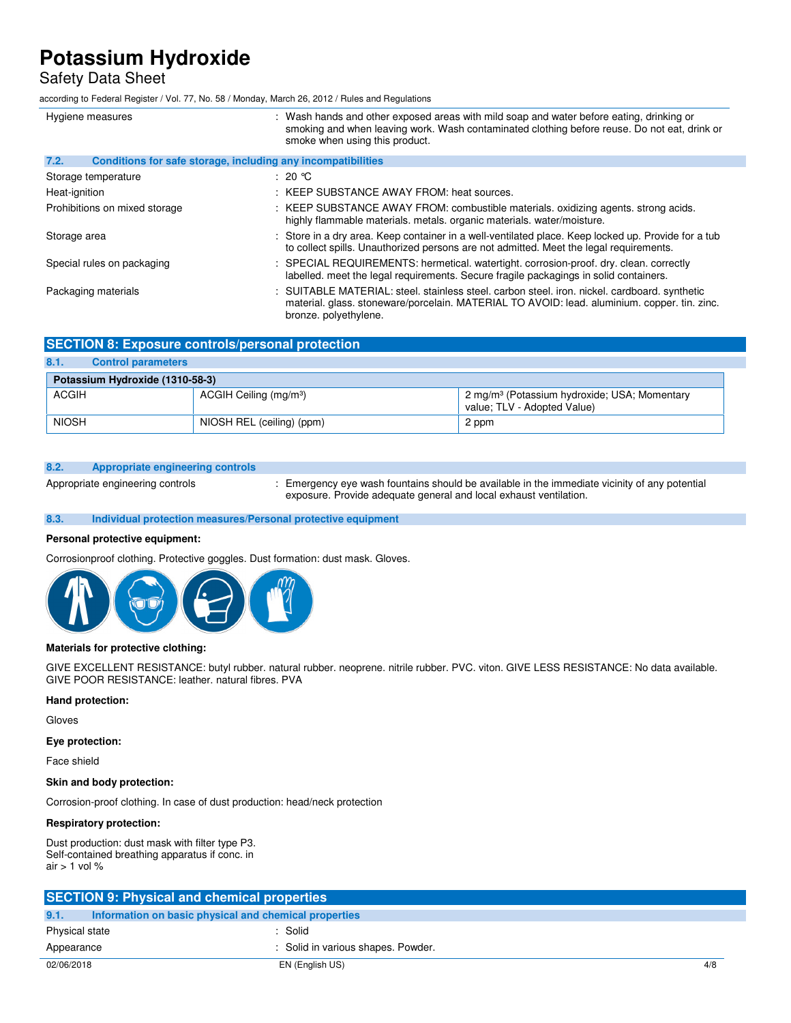### Safety Data Sheet

according to Federal Register / Vol. 77, No. 58 / Monday, March 26, 2012 / Rules and Regulations

| Hygiene measures                                                     | : Wash hands and other exposed areas with mild soap and water before eating, drinking or<br>smoking and when leaving work. Wash contaminated clothing before reuse. Do not eat, drink or<br>smoke when using this product. |
|----------------------------------------------------------------------|----------------------------------------------------------------------------------------------------------------------------------------------------------------------------------------------------------------------------|
| 7.2.<br>Conditions for safe storage, including any incompatibilities |                                                                                                                                                                                                                            |
| Storage temperature                                                  | : 20 $^{\circ}$ C                                                                                                                                                                                                          |
| Heat-ignition                                                        | : KEEP SUBSTANCE AWAY FROM: heat sources.                                                                                                                                                                                  |
| Prohibitions on mixed storage                                        | : KEEP SUBSTANCE AWAY FROM: combustible materials. oxidizing agents. strong acids.<br>highly flammable materials, metals, organic materials, water/moisture.                                                               |
| Storage area                                                         | : Store in a dry area. Keep container in a well-ventilated place. Keep locked up. Provide for a tub<br>to collect spills. Unauthorized persons are not admitted. Meet the legal requirements.                              |
| Special rules on packaging                                           | : SPECIAL REQUIREMENTS: hermetical. watertight. corrosion-proof. dry. clean. correctly<br>labelled, meet the legal requirements. Secure fragile packagings in solid containers.                                            |
| Packaging materials                                                  | : SUITABLE MATERIAL: steel. stainless steel. carbon steel. iron. nickel. cardboard. synthetic<br>material. glass. stoneware/porcelain. MATERIAL TO AVOID: lead. aluminium. copper. tin. zinc.<br>bronze. polyethylene.     |

### **SECTION 8: Exposure controls/personal protection**

### **8.1. Control parameters**

| Potassium Hydroxide (1310-58-3) |                                    |                                                                                         |  |
|---------------------------------|------------------------------------|-----------------------------------------------------------------------------------------|--|
| ACGIH                           | ACGIH Ceiling (mg/m <sup>3</sup> ) | 2 mg/m <sup>3</sup> (Potassium hydroxide; USA; Momentary<br>value: TLV - Adopted Value) |  |
| <b>NIOSH</b>                    | NIOSH REL (ceiling) (ppm)          | 2 ppm                                                                                   |  |

#### **8.2. Appropriate engineering controls**

Appropriate engineering controls : Emergency eye wash fountains should be available in the immediate vicinity of any potential exposure. Provide adequate general and local exhaust ventilation.

#### **8.3. Individual protection measures/Personal protective equipment**

#### **Personal protective equipment:**

Corrosionproof clothing. Protective goggles. Dust formation: dust mask. Gloves.



### **Materials for protective clothing:**

GIVE EXCELLENT RESISTANCE: butyl rubber. natural rubber. neoprene. nitrile rubber. PVC. viton. GIVE LESS RESISTANCE: No data available. GIVE POOR RESISTANCE: leather. natural fibres. PVA

#### **Hand protection:**

Gloves

**Eye protection:** 

Face shield

#### **Skin and body protection:**

Corrosion-proof clothing. In case of dust production: head/neck protection

#### **Respiratory protection:**

Dust production: dust mask with filter type P3. Self-contained breathing apparatus if conc. in air  $> 1$  vol %

|                | <b>SECTION 9: Physical and chemical properties</b>    |                                    |     |
|----------------|-------------------------------------------------------|------------------------------------|-----|
| 9.1.           | Information on basic physical and chemical properties |                                    |     |
| Physical state |                                                       | $:$ Solid                          |     |
| Appearance     |                                                       | : Solid in various shapes. Powder. |     |
| 02/06/2018     |                                                       | EN (English US)                    | 4/8 |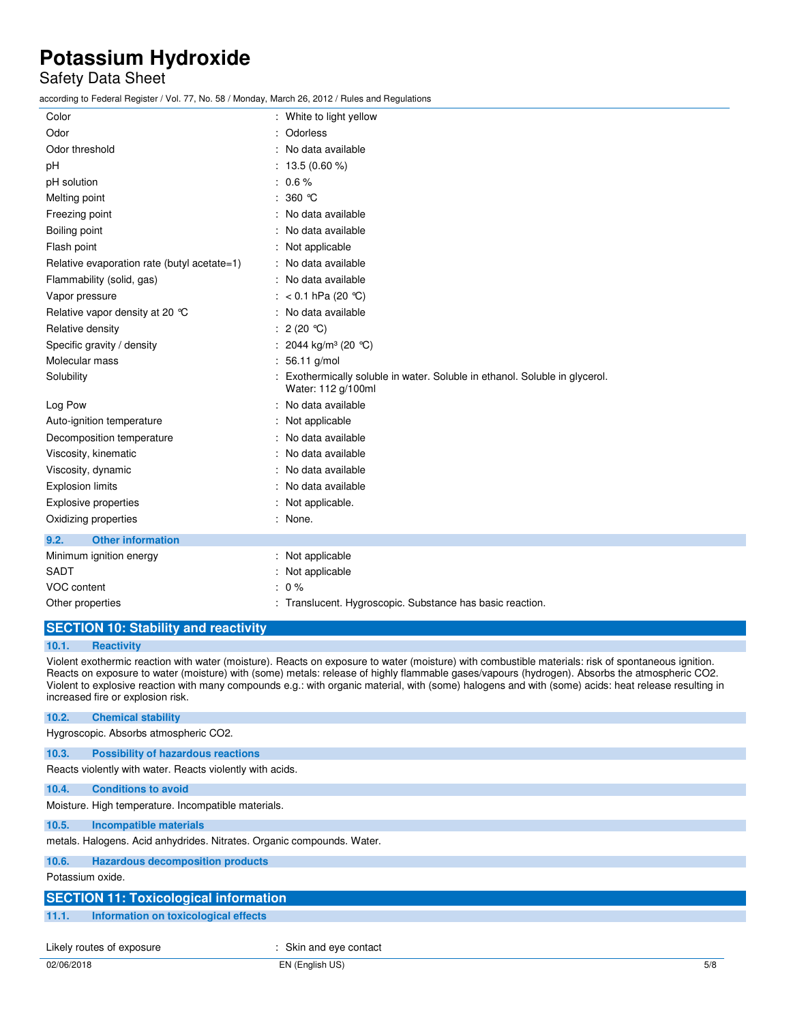### Safety Data Sheet

according to Federal Register / Vol. 77, No. 58 / Monday, March 26, 2012 / Rules and Regulations

| 2000 any to redorat regional response to the continuity, march Ev, Ev IET rialov and regulations |                                                                                                 |
|--------------------------------------------------------------------------------------------------|-------------------------------------------------------------------------------------------------|
| Color                                                                                            | : White to light yellow                                                                         |
| Odor                                                                                             | : Odorless                                                                                      |
| Odor threshold                                                                                   | : No data available                                                                             |
| pH                                                                                               | : $13.5(0.60\%)$                                                                                |
| pH solution                                                                                      | $: 0.6 \%$                                                                                      |
| Melting point                                                                                    | : $360$ °C                                                                                      |
| Freezing point                                                                                   | : No data available                                                                             |
| Boiling point                                                                                    | : No data available                                                                             |
| Flash point                                                                                      | Not applicable                                                                                  |
| Relative evaporation rate (butyl acetate=1)                                                      | : No data available                                                                             |
| Flammability (solid, gas)                                                                        | : No data available                                                                             |
| Vapor pressure                                                                                   | : $< 0.1$ hPa (20 °C)                                                                           |
| Relative vapor density at 20 °C                                                                  | : No data available                                                                             |
| Relative density                                                                                 | : $2(20 °C)$                                                                                    |
| Specific gravity / density                                                                       | : 2044 kg/m <sup>3</sup> (20 °C)                                                                |
| Molecular mass                                                                                   | : 56.11 g/mol                                                                                   |
| Solubility                                                                                       | Exothermically soluble in water. Soluble in ethanol. Soluble in glycerol.<br>Water: 112 g/100ml |
| Log Pow                                                                                          | : No data available                                                                             |
| Auto-ignition temperature                                                                        | : Not applicable                                                                                |
| Decomposition temperature                                                                        | : No data available                                                                             |
| Viscosity, kinematic                                                                             | : No data available                                                                             |
| Viscosity, dynamic                                                                               | : No data available                                                                             |
| <b>Explosion limits</b>                                                                          | : No data available                                                                             |
| <b>Explosive properties</b>                                                                      | : Not applicable.                                                                               |
| Oxidizing properties                                                                             | : None.                                                                                         |
| <b>Other information</b><br>9.2.                                                                 |                                                                                                 |
| Minimum ignition energy                                                                          | : Not applicable                                                                                |
| <b>SADT</b>                                                                                      | : Not applicable                                                                                |
| VOC content                                                                                      | $: 0 \%$                                                                                        |
| Other properties                                                                                 | : Translucent. Hygroscopic. Substance has basic reaction.                                       |
|                                                                                                  |                                                                                                 |

### **SECTION 10: Stability and reactivity**

#### **10.1. Reactivity**

Violent exothermic reaction with water (moisture). Reacts on exposure to water (moisture) with combustible materials: risk of spontaneous ignition. Reacts on exposure to water (moisture) with (some) metals: release of highly flammable gases/vapours (hydrogen). Absorbs the atmospheric CO2. Violent to explosive reaction with many compounds e.g.: with organic material, with (some) halogens and with (some) acids: heat release resulting in increased fire or explosion risk.

#### **10.2. Chemical stability**

Hygroscopic. Absorbs atmospheric CO2.

#### **10.3. Possibility of hazardous reactions**

Reacts violently with water. Reacts violently with acids.

#### **10.4. Conditions to avoid**

Moisture. High temperature. Incompatible materials.

#### **10.5. Incompatible materials**

metals. Halogens. Acid anhydrides. Nitrates. Organic compounds. Water.

#### **10.6. Hazardous decomposition products**

Potassium oxide.

## **SECTION 11: Toxicological information 11.1. Information on toxicological effects**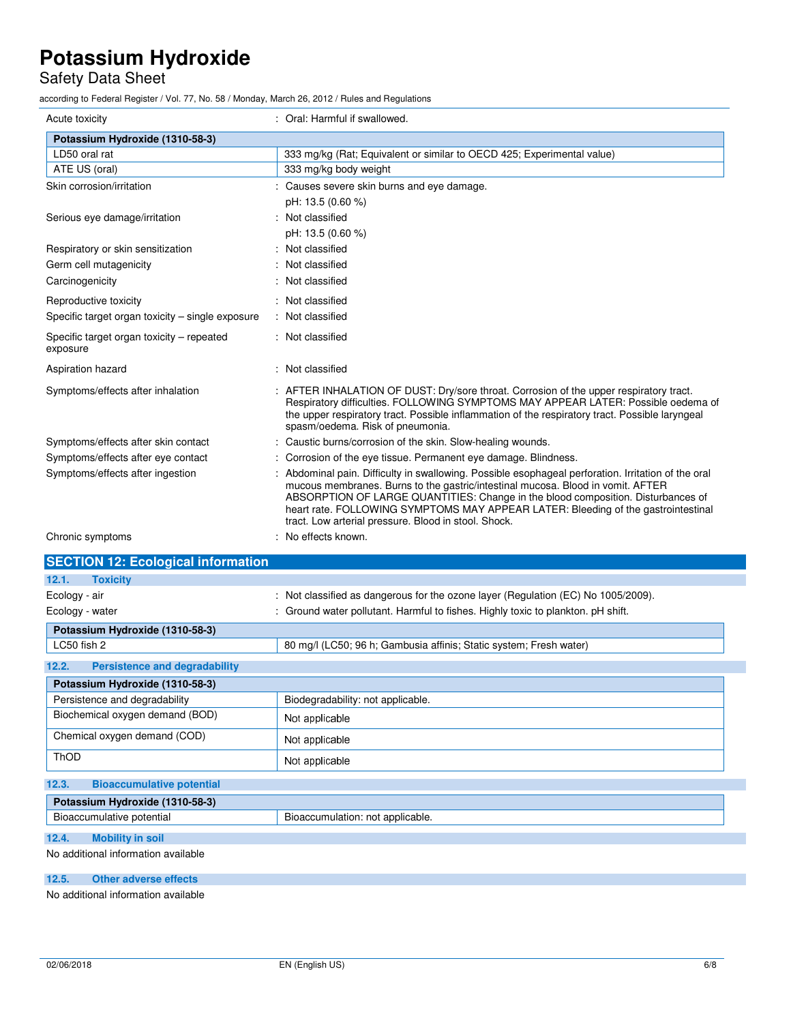## Safety Data Sheet

according to Federal Register / Vol. 77, No. 58 / Monday, March 26, 2012 / Rules and Regulations

| Acute toxicity                                        | : Oral: Harmful if swallowed.                                                                                                                                                                                                                                                                                                                                                                                           |
|-------------------------------------------------------|-------------------------------------------------------------------------------------------------------------------------------------------------------------------------------------------------------------------------------------------------------------------------------------------------------------------------------------------------------------------------------------------------------------------------|
| Potassium Hydroxide (1310-58-3)                       |                                                                                                                                                                                                                                                                                                                                                                                                                         |
| LD50 oral rat                                         | 333 mg/kg (Rat; Equivalent or similar to OECD 425; Experimental value)                                                                                                                                                                                                                                                                                                                                                  |
| ATE US (oral)                                         | 333 mg/kg body weight                                                                                                                                                                                                                                                                                                                                                                                                   |
| Skin corrosion/irritation                             | Causes severe skin burns and eye damage.                                                                                                                                                                                                                                                                                                                                                                                |
|                                                       | pH: 13.5 (0.60 %)                                                                                                                                                                                                                                                                                                                                                                                                       |
| Serious eye damage/irritation                         | : Not classified                                                                                                                                                                                                                                                                                                                                                                                                        |
|                                                       | pH: 13.5 (0.60 %)                                                                                                                                                                                                                                                                                                                                                                                                       |
| Respiratory or skin sensitization                     | : Not classified                                                                                                                                                                                                                                                                                                                                                                                                        |
| Germ cell mutagenicity                                | Not classified                                                                                                                                                                                                                                                                                                                                                                                                          |
| Carcinogenicity                                       | : Not classified                                                                                                                                                                                                                                                                                                                                                                                                        |
| Reproductive toxicity                                 | : Not classified                                                                                                                                                                                                                                                                                                                                                                                                        |
| Specific target organ toxicity - single exposure      | : Not classified                                                                                                                                                                                                                                                                                                                                                                                                        |
| Specific target organ toxicity – repeated<br>exposure | : Not classified                                                                                                                                                                                                                                                                                                                                                                                                        |
| Aspiration hazard                                     | : Not classified                                                                                                                                                                                                                                                                                                                                                                                                        |
| Symptoms/effects after inhalation                     | : AFTER INHALATION OF DUST: Dry/sore throat. Corrosion of the upper respiratory tract.<br>Respiratory difficulties. FOLLOWING SYMPTOMS MAY APPEAR LATER: Possible oedema of<br>the upper respiratory tract. Possible inflammation of the respiratory tract. Possible laryngeal<br>spasm/oedema. Risk of pneumonia.                                                                                                      |
| Symptoms/effects after skin contact                   | Caustic burns/corrosion of the skin. Slow-healing wounds.                                                                                                                                                                                                                                                                                                                                                               |
| Symptoms/effects after eye contact                    | : Corrosion of the eye tissue. Permanent eye damage. Blindness.                                                                                                                                                                                                                                                                                                                                                         |
| Symptoms/effects after ingestion                      | : Abdominal pain. Difficulty in swallowing. Possible esophageal perforation. Irritation of the oral<br>mucous membranes. Burns to the gastric/intestinal mucosa. Blood in vomit. AFTER<br>ABSORPTION OF LARGE QUANTITIES: Change in the blood composition. Disturbances of<br>heart rate. FOLLOWING SYMPTOMS MAY APPEAR LATER: Bleeding of the gastrointestinal<br>tract. Low arterial pressure. Blood in stool. Shock. |
| Chronic symptoms                                      | : No effects known.                                                                                                                                                                                                                                                                                                                                                                                                     |
| <b>SECTION 12: Ecological information</b>             |                                                                                                                                                                                                                                                                                                                                                                                                                         |
| 12.1.<br><b>Toxicity</b>                              |                                                                                                                                                                                                                                                                                                                                                                                                                         |
| Ecology - air                                         | : Not classified as dangerous for the ozone layer (Regulation (EC) No 1005/2009).                                                                                                                                                                                                                                                                                                                                       |
| Ecology - water                                       | : Ground water pollutant. Harmful to fishes. Highly toxic to plankton. pH shift.                                                                                                                                                                                                                                                                                                                                        |
| Potassium Hydroxide (1310-58-3)                       |                                                                                                                                                                                                                                                                                                                                                                                                                         |
| LC50 fish 2                                           | 80 mg/l (LC50; 96 h; Gambusia affinis; Static system; Fresh water)                                                                                                                                                                                                                                                                                                                                                      |
| 12.2.<br><b>Persistence and degradability</b>         |                                                                                                                                                                                                                                                                                                                                                                                                                         |
| Potassium Hydroxide (1310-58-3)                       |                                                                                                                                                                                                                                                                                                                                                                                                                         |
| Persistence and degradability                         | Biodegradability: not applicable.                                                                                                                                                                                                                                                                                                                                                                                       |
| Biochemical oxygen demand (BOD)                       | Not applicable                                                                                                                                                                                                                                                                                                                                                                                                          |
| Chemical oxygen demand (COD)                          | Not applicable                                                                                                                                                                                                                                                                                                                                                                                                          |
| ThOD                                                  | Not applicable                                                                                                                                                                                                                                                                                                                                                                                                          |
| 12.3.<br><b>Bioaccumulative potential</b>             |                                                                                                                                                                                                                                                                                                                                                                                                                         |
| Potassium Hydroxide (1310-58-3)                       |                                                                                                                                                                                                                                                                                                                                                                                                                         |
| Bioaccumulative potential                             | Bioaccumulation: not applicable.                                                                                                                                                                                                                                                                                                                                                                                        |
| 12.4.<br><b>Mobility in soil</b>                      |                                                                                                                                                                                                                                                                                                                                                                                                                         |
| No additional information available                   |                                                                                                                                                                                                                                                                                                                                                                                                                         |

**12.5. Other adverse effects** 

No additional information available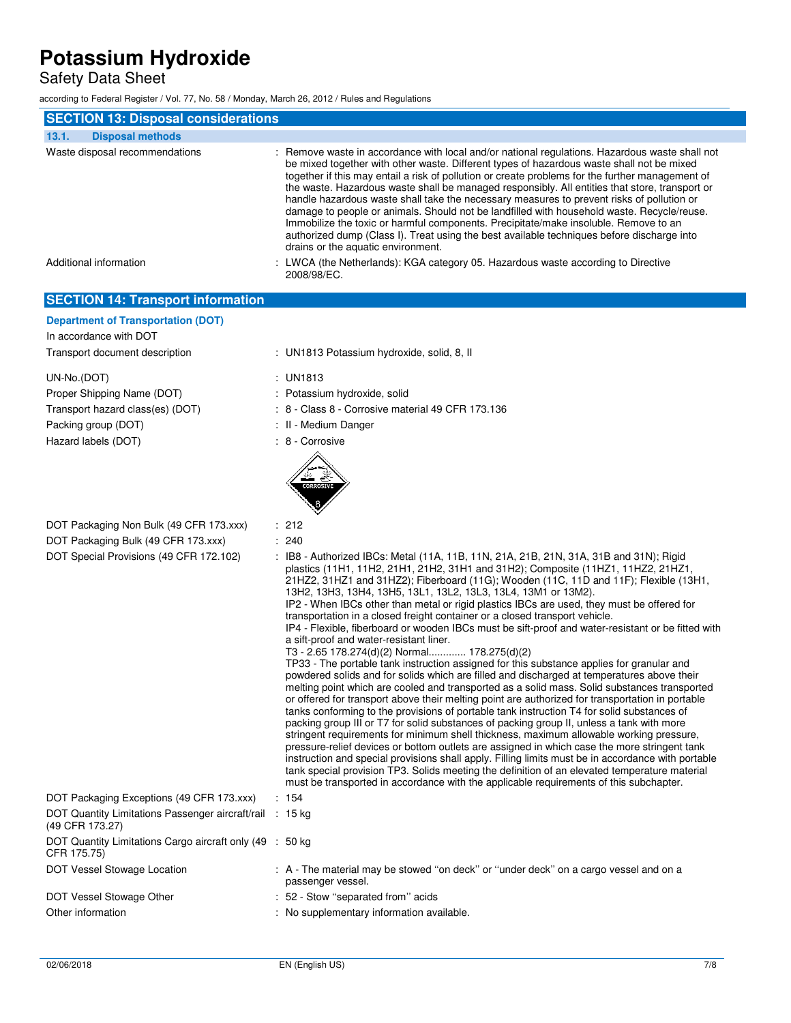Safety Data Sheet

according to Federal Register / Vol. 77, No. 58 / Monday, March 26, 2012 / Rules and Regulations

| <b>SECTION 13: Disposal considerations</b>                          |                                                                                                                                                                                                                                                                                                                                                                                                                                                                                                                                                                                                                                                                                                                                                                                                                          |
|---------------------------------------------------------------------|--------------------------------------------------------------------------------------------------------------------------------------------------------------------------------------------------------------------------------------------------------------------------------------------------------------------------------------------------------------------------------------------------------------------------------------------------------------------------------------------------------------------------------------------------------------------------------------------------------------------------------------------------------------------------------------------------------------------------------------------------------------------------------------------------------------------------|
| 13.1.<br><b>Disposal methods</b>                                    |                                                                                                                                                                                                                                                                                                                                                                                                                                                                                                                                                                                                                                                                                                                                                                                                                          |
| Waste disposal recommendations                                      | : Remove waste in accordance with local and/or national regulations. Hazardous waste shall not<br>be mixed together with other waste. Different types of hazardous waste shall not be mixed<br>together if this may entail a risk of pollution or create problems for the further management of<br>the waste. Hazardous waste shall be managed responsibly. All entities that store, transport or<br>handle hazardous waste shall take the necessary measures to prevent risks of pollution or<br>damage to people or animals. Should not be landfilled with household waste. Recycle/reuse.<br>Immobilize the toxic or harmful components. Precipitate/make insoluble. Remove to an<br>authorized dump (Class I). Treat using the best available techniques before discharge into<br>drains or the aquatic environment. |
| Additional information                                              | : LWCA (the Netherlands): KGA category 05. Hazardous waste according to Directive<br>2008/98/EC.                                                                                                                                                                                                                                                                                                                                                                                                                                                                                                                                                                                                                                                                                                                         |
| <b>SECTION 14: Transport information</b>                            |                                                                                                                                                                                                                                                                                                                                                                                                                                                                                                                                                                                                                                                                                                                                                                                                                          |
| <b>Department of Transportation (DOT)</b><br>In accordance with DOT |                                                                                                                                                                                                                                                                                                                                                                                                                                                                                                                                                                                                                                                                                                                                                                                                                          |
| Transport document description                                      | : UN1813 Potassium hydroxide, solid, 8, II                                                                                                                                                                                                                                                                                                                                                                                                                                                                                                                                                                                                                                                                                                                                                                               |
| UN-No.(DOT)                                                         | : UN1813                                                                                                                                                                                                                                                                                                                                                                                                                                                                                                                                                                                                                                                                                                                                                                                                                 |
| Proper Shipping Name (DOT)                                          | : Potassium hydroxide, solid                                                                                                                                                                                                                                                                                                                                                                                                                                                                                                                                                                                                                                                                                                                                                                                             |
| Transport hazard class(es) (DOT)                                    | $\div$ 8 - Class 8 - Corrosive material 49 CFR 173.136                                                                                                                                                                                                                                                                                                                                                                                                                                                                                                                                                                                                                                                                                                                                                                   |
| Packing group (DOT)                                                 | : II - Medium Danger                                                                                                                                                                                                                                                                                                                                                                                                                                                                                                                                                                                                                                                                                                                                                                                                     |
| Hazard labels (DOT)                                                 | : 8 - Corrosive                                                                                                                                                                                                                                                                                                                                                                                                                                                                                                                                                                                                                                                                                                                                                                                                          |

DOT Packaging Non Bulk (49 CFR 173.xxx) : 212

| DOT Packaging Bulk (49 CFR 173.xxx)                                                                                                                                                                                                                                                 |  | : 240                                                                                                                                                                                                                                                                                                                                                                                                                                                                                                                                                                                                                                                                                                                                                                                                                                                                                                                                                                                                                                                                                                                                                                                                                                                                                                                                                                                                                                                                                                                                                        |
|-------------------------------------------------------------------------------------------------------------------------------------------------------------------------------------------------------------------------------------------------------------------------------------|--|--------------------------------------------------------------------------------------------------------------------------------------------------------------------------------------------------------------------------------------------------------------------------------------------------------------------------------------------------------------------------------------------------------------------------------------------------------------------------------------------------------------------------------------------------------------------------------------------------------------------------------------------------------------------------------------------------------------------------------------------------------------------------------------------------------------------------------------------------------------------------------------------------------------------------------------------------------------------------------------------------------------------------------------------------------------------------------------------------------------------------------------------------------------------------------------------------------------------------------------------------------------------------------------------------------------------------------------------------------------------------------------------------------------------------------------------------------------------------------------------------------------------------------------------------------------|
| DOT Special Provisions (49 CFR 172.102)<br>13H2, 13H3, 13H4, 13H5, 13L1, 13L2, 13L3, 13L4, 13M1 or 13M2).<br>transportation in a closed freight container or a closed transport vehicle.<br>a sift-proof and water-resistant liner.<br>T3 - 2.65 178.274(d)(2) Normal 178.275(d)(2) |  | IB8 - Authorized IBCs: Metal (11A, 11B, 11N, 21A, 21B, 21N, 31A, 31B and 31N); Rigid<br>plastics (11H1, 11H2, 21H1, 21H2, 31H1 and 31H2); Composite (11HZ1, 11HZ2, 21HZ1,<br>21HZ2, 31HZ1 and 31HZ2); Fiberboard (11G); Wooden (11C, 11D and 11F); Flexible (13H1,<br>IP2 - When IBCs other than metal or rigid plastics IBCs are used, they must be offered for<br>IP4 - Flexible, fiberboard or wooden IBCs must be sift-proof and water-resistant or be fitted with<br>TP33 - The portable tank instruction assigned for this substance applies for granular and<br>powdered solids and for solids which are filled and discharged at temperatures above their<br>melting point which are cooled and transported as a solid mass. Solid substances transported<br>or offered for transport above their melting point are authorized for transportation in portable<br>tanks conforming to the provisions of portable tank instruction T4 for solid substances of<br>packing group III or T7 for solid substances of packing group II, unless a tank with more<br>stringent requirements for minimum shell thickness, maximum allowable working pressure,<br>pressure-relief devices or bottom outlets are assigned in which case the more stringent tank<br>instruction and special provisions shall apply. Filling limits must be in accordance with portable<br>tank special provision TP3. Solids meeting the definition of an elevated temperature material<br>must be transported in accordance with the applicable requirements of this subchapter. |
| DOT Packaging Exceptions (49 CFR 173.xxx)                                                                                                                                                                                                                                           |  | : 154                                                                                                                                                                                                                                                                                                                                                                                                                                                                                                                                                                                                                                                                                                                                                                                                                                                                                                                                                                                                                                                                                                                                                                                                                                                                                                                                                                                                                                                                                                                                                        |
| DOT Quantity Limitations Passenger aircraft/rail : 15 kg<br>(49 CFR 173.27)                                                                                                                                                                                                         |  |                                                                                                                                                                                                                                                                                                                                                                                                                                                                                                                                                                                                                                                                                                                                                                                                                                                                                                                                                                                                                                                                                                                                                                                                                                                                                                                                                                                                                                                                                                                                                              |
| DOT Quantity Limitations Cargo aircraft only (49 :<br>CFR 175.75)                                                                                                                                                                                                                   |  | 50 kg                                                                                                                                                                                                                                                                                                                                                                                                                                                                                                                                                                                                                                                                                                                                                                                                                                                                                                                                                                                                                                                                                                                                                                                                                                                                                                                                                                                                                                                                                                                                                        |
| DOT Vessel Stowage Location                                                                                                                                                                                                                                                         |  | : A - The material may be stowed "on deck" or "under deck" on a cargo vessel and on a<br>passenger vessel.                                                                                                                                                                                                                                                                                                                                                                                                                                                                                                                                                                                                                                                                                                                                                                                                                                                                                                                                                                                                                                                                                                                                                                                                                                                                                                                                                                                                                                                   |
| DOT Vessel Stowage Other                                                                                                                                                                                                                                                            |  | : 52 - Stow "separated from" acids                                                                                                                                                                                                                                                                                                                                                                                                                                                                                                                                                                                                                                                                                                                                                                                                                                                                                                                                                                                                                                                                                                                                                                                                                                                                                                                                                                                                                                                                                                                           |
| Other information                                                                                                                                                                                                                                                                   |  | : No supplementary information available.                                                                                                                                                                                                                                                                                                                                                                                                                                                                                                                                                                                                                                                                                                                                                                                                                                                                                                                                                                                                                                                                                                                                                                                                                                                                                                                                                                                                                                                                                                                    |